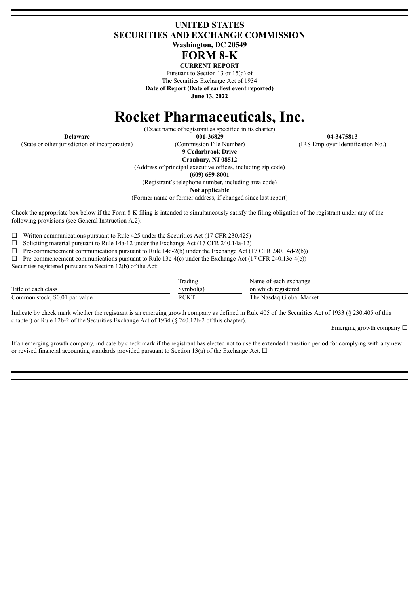## **UNITED STATES SECURITIES AND EXCHANGE COMMISSION Washington, DC 20549**

# **FORM 8-K**

**CURRENT REPORT** Pursuant to Section 13 or 15(d) of The Securities Exchange Act of 1934 **Date of Report (Date of earliest event reported)**

**June 13, 2022**

# **Rocket Pharmaceuticals, Inc.**

(Exact name of registrant as specified in its charter)

(State or other jurisdiction of incorporation) (Commission File Number) (IRS Employer Identification No.)

**Delaware 001-36829 04-3475813**

**9 Cedarbrook Drive Cranbury, NJ 08512**

(Address of principal executive offices, including zip code)

**(609) 659-8001**

(Registrant's telephone number, including area code)

**Not applicable**

(Former name or former address, if changed since last report)

Check the appropriate box below if the Form 8-K filing is intended to simultaneously satisfy the filing obligation of the registrant under any of the following provisions (see General Instruction A.2):

 $\Box$  Written communications pursuant to Rule 425 under the Securities Act (17 CFR 230.425)

☐ Soliciting material pursuant to Rule 14a-12 under the Exchange Act (17 CFR 240.14a-12)

 $\Box$  Pre-commencement communications pursuant to Rule 14d-2(b) under the Exchange Act (17 CFR 240.14d-2(b))

 $\Box$  Pre-commencement communications pursuant to Rule 13e-4(c) under the Exchange Act (17 CFR 240.13e-4(c))

Securities registered pursuant to Section 12(b) of the Act:

|                                | Trading     | Name of each exchange    |
|--------------------------------|-------------|--------------------------|
| Title of each class            | Svmbol(s)   | on which registered      |
| Common stock, \$0.01 par value | <b>RCKT</b> | The Nasdag Global Market |

Indicate by check mark whether the registrant is an emerging growth company as defined in Rule 405 of the Securities Act of 1933 (§ 230.405 of this chapter) or Rule 12b-2 of the Securities Exchange Act of 1934 (§ 240.12b-2 of this chapter).

Emerging growth company  $\Box$ 

If an emerging growth company, indicate by check mark if the registrant has elected not to use the extended transition period for complying with any new or revised financial accounting standards provided pursuant to Section 13(a) of the Exchange Act.  $\Box$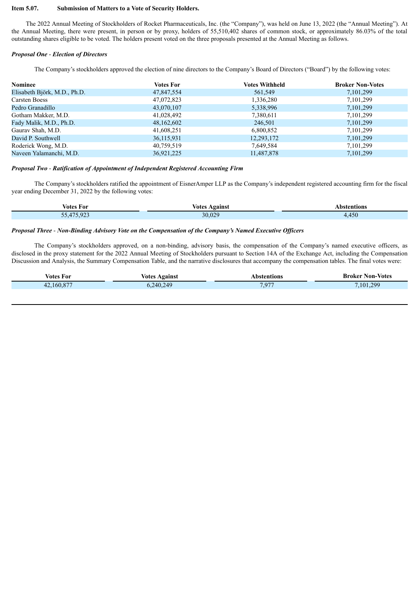#### **Item 5.07. Submission of Matters to a Vote of Security Holders.**

The 2022 Annual Meeting of Stockholders of Rocket Pharmaceuticals, Inc. (the "Company"), was held on June 13, 2022 (the "Annual Meeting"). At the Annual Meeting, there were present, in person or by proxy, holders of 55,510,402 shares of common stock, or approximately 86.03% of the total outstanding shares eligible to be voted. The holders present voted on the three proposals presented at the Annual Meeting as follows.

#### *Proposal One* - *Election of Directors*

The Company's stockholders approved the election of nine directors to the Company's Board of Directors ("Board") by the following votes:

| <b>Nominee</b>               | <b>Votes For</b> | <b>Votes Withheld</b> | <b>Broker Non-Votes</b> |
|------------------------------|------------------|-----------------------|-------------------------|
| Elisabeth Björk, M.D., Ph.D. | 47,847,554       | 561,549               | 7, 101, 299             |
| Carsten Boess                | 47,072,823       | 1,336,280             | 7, 101, 299             |
| Pedro Granadillo             | 43,070,107       | 5,338,996             | 7, 101, 299             |
| Gotham Makker, M.D.          | 41,028,492       | 7,380,611             | 7, 101, 299             |
| Fady Malik, M.D., Ph.D.      | 48,162,602       | 246,501               | 7, 101, 299             |
| Gauray Shah, M.D.            | 41,608,251       | 6,800,852             | 7, 101, 299             |
| David P. Southwell           | 36,115,931       | 12,293,172            | 7, 101, 299             |
| Roderick Wong, M.D.          | 40,759,519       | 7,649,584             | 7, 101, 299             |
| Naveen Yalamanchi, M.D.      | 36,921,225       | 11,487,878            | 7, 101, 299             |

#### *Proposal Two* - *Ratification of Appointment of Independent Registered Accounting Firm*

The Company's stockholders ratified the appointment of EisnerAmper LLP as the Company's independent registered accounting firm for the fiscal year ending December 31, 2022 by the following votes:

| Votes For                                                                                                                                          | <b>Votes</b><br>Against | \bstentions |
|----------------------------------------------------------------------------------------------------------------------------------------------------|-------------------------|-------------|
| $E = 175000$<br>74<br>. .<br><b>Contract Contract Contract Contract Contract Contract Contract Contract Contract Contract Contract Contract Co</b> | 30,029                  | 7,4JU       |

#### *Proposal Three* - *Non-Binding Advisory Vote on the Compensation of the Company's Named Executive Of icers*

The Company's stockholders approved, on a non-binding, advisory basis, the compensation of the Company's named executive officers, as disclosed in the proxy statement for the 2022 Annual Meeting of Stockholders pursuant to Section 14A of the Exchange Act, including the Compensation Discussion and Analysis, the Summary Compensation Table, and the narrative disclosures that accompany the compensation tables. The final votes were:

| Votes For  | Against<br>votes | \bstentions | Non-Votes<br>Broker |
|------------|------------------|-------------|---------------------|
| 42,160,877 | .240.249         | 7.971       | 299<br>101          |
|            |                  |             |                     |